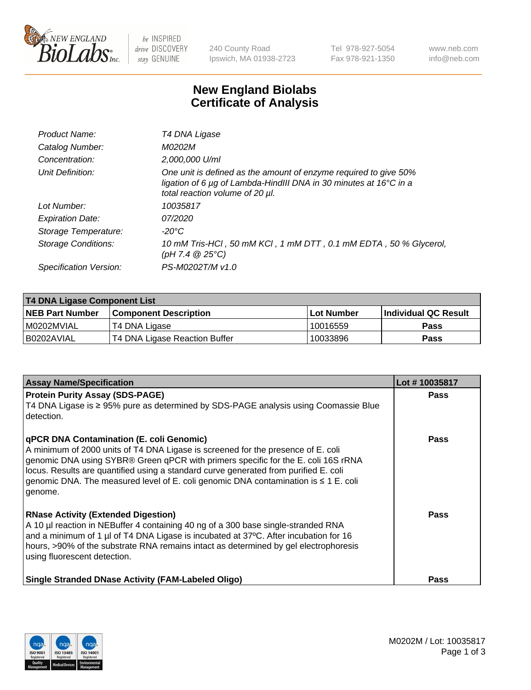

 $be$  INSPIRED drive DISCOVERY stay GENUINE

240 County Road Ipswich, MA 01938-2723 Tel 978-927-5054 Fax 978-921-1350 www.neb.com info@neb.com

## **New England Biolabs Certificate of Analysis**

| Product Name:              | T4 DNA Ligase                                                                                                                                                                           |
|----------------------------|-----------------------------------------------------------------------------------------------------------------------------------------------------------------------------------------|
| Catalog Number:            | M0202M                                                                                                                                                                                  |
| Concentration:             | 2,000,000 U/ml                                                                                                                                                                          |
| Unit Definition:           | One unit is defined as the amount of enzyme required to give 50%<br>ligation of 6 $\mu$ g of Lambda-HindIII DNA in 30 minutes at 16 $\degree$ C in a<br>total reaction volume of 20 µl. |
| Lot Number:                | 10035817                                                                                                                                                                                |
| <b>Expiration Date:</b>    | 07/2020                                                                                                                                                                                 |
| Storage Temperature:       | -20°C                                                                                                                                                                                   |
| <b>Storage Conditions:</b> | 10 mM Tris-HCl, 50 mM KCl, 1 mM DTT, 0.1 mM EDTA, 50 % Glycerol,<br>(pH 7.4 $@25°C$ )                                                                                                   |
| Specification Version:     | PS-M0202T/M v1.0                                                                                                                                                                        |

| <b>T4 DNA Ligase Component List</b> |                               |             |                             |  |
|-------------------------------------|-------------------------------|-------------|-----------------------------|--|
| <b>NEB Part Number</b>              | <b>Component Description</b>  | ∣Lot Number | <b>Individual QC Result</b> |  |
| I M0202MVIAL                        | T4 DNA Ligase                 | 10016559    | <b>Pass</b>                 |  |
| I B0202AVIAL                        | T4 DNA Ligase Reaction Buffer | 10033896    | <b>Pass</b>                 |  |

| <b>Assay Name/Specification</b>                                                                                                                                                                                                                                                                                                                                                                                    | Lot #10035817 |
|--------------------------------------------------------------------------------------------------------------------------------------------------------------------------------------------------------------------------------------------------------------------------------------------------------------------------------------------------------------------------------------------------------------------|---------------|
| <b>Protein Purity Assay (SDS-PAGE)</b><br>T4 DNA Ligase is ≥ 95% pure as determined by SDS-PAGE analysis using Coomassie Blue<br>l detection.                                                                                                                                                                                                                                                                      | <b>Pass</b>   |
| <b>qPCR DNA Contamination (E. coli Genomic)</b><br>A minimum of 2000 units of T4 DNA Ligase is screened for the presence of E. coli<br>genomic DNA using SYBR® Green qPCR with primers specific for the E. coli 16S rRNA<br>locus. Results are quantified using a standard curve generated from purified E. coli<br>genomic DNA. The measured level of E. coli genomic DNA contamination is ≤ 1 E. coli<br>genome. | Pass          |
| <b>RNase Activity (Extended Digestion)</b><br>A 10 µl reaction in NEBuffer 4 containing 40 ng of a 300 base single-stranded RNA<br>and a minimum of 1 µl of T4 DNA Ligase is incubated at 37°C. After incubation for 16<br>hours, >90% of the substrate RNA remains intact as determined by gel electrophoresis<br>using fluorescent detection.                                                                    | <b>Pass</b>   |
| Single Stranded DNase Activity (FAM-Labeled Oligo)                                                                                                                                                                                                                                                                                                                                                                 | <b>Pass</b>   |

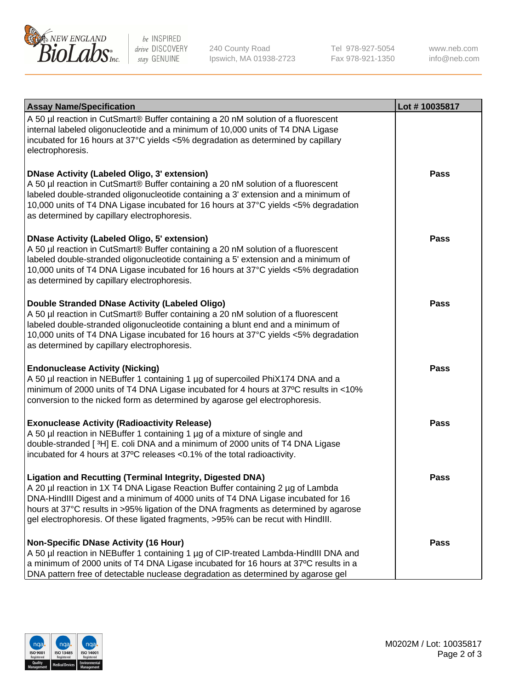

be INSPIRED drive DISCOVERY stay GENUINE

240 County Road Ipswich, MA 01938-2723 Tel 978-927-5054 Fax 978-921-1350 www.neb.com info@neb.com

| <b>Assay Name/Specification</b>                                                                                                                                                                                                                                                                                                                                                                                    | Lot #10035817 |
|--------------------------------------------------------------------------------------------------------------------------------------------------------------------------------------------------------------------------------------------------------------------------------------------------------------------------------------------------------------------------------------------------------------------|---------------|
| A 50 µl reaction in CutSmart® Buffer containing a 20 nM solution of a fluorescent<br>internal labeled oligonucleotide and a minimum of 10,000 units of T4 DNA Ligase<br>incubated for 16 hours at 37°C yields <5% degradation as determined by capillary<br>electrophoresis.                                                                                                                                       |               |
| <b>DNase Activity (Labeled Oligo, 3' extension)</b><br>A 50 µl reaction in CutSmart® Buffer containing a 20 nM solution of a fluorescent<br>labeled double-stranded oligonucleotide containing a 3' extension and a minimum of<br>10,000 units of T4 DNA Ligase incubated for 16 hours at 37°C yields <5% degradation<br>as determined by capillary electrophoresis.                                               | Pass          |
| <b>DNase Activity (Labeled Oligo, 5' extension)</b><br>A 50 µl reaction in CutSmart® Buffer containing a 20 nM solution of a fluorescent<br>labeled double-stranded oligonucleotide containing a 5' extension and a minimum of<br>10,000 units of T4 DNA Ligase incubated for 16 hours at 37°C yields <5% degradation<br>as determined by capillary electrophoresis.                                               | Pass          |
| <b>Double Stranded DNase Activity (Labeled Oligo)</b><br>A 50 µl reaction in CutSmart® Buffer containing a 20 nM solution of a fluorescent<br>labeled double-stranded oligonucleotide containing a blunt end and a minimum of<br>10,000 units of T4 DNA Ligase incubated for 16 hours at 37°C yields <5% degradation<br>as determined by capillary electrophoresis.                                                | Pass          |
| <b>Endonuclease Activity (Nicking)</b><br>A 50 µl reaction in NEBuffer 1 containing 1 µg of supercoiled PhiX174 DNA and a<br>minimum of 2000 units of T4 DNA Ligase incubated for 4 hours at 37°C results in <10%<br>conversion to the nicked form as determined by agarose gel electrophoresis.                                                                                                                   | <b>Pass</b>   |
| <b>Exonuclease Activity (Radioactivity Release)</b><br>A 50 µl reaction in NEBuffer 1 containing 1 µg of a mixture of single and<br>double-stranded [3H] E. coli DNA and a minimum of 2000 units of T4 DNA Ligase<br>incubated for 4 hours at 37°C releases <0.1% of the total radioactivity.                                                                                                                      | Pass          |
| <b>Ligation and Recutting (Terminal Integrity, Digested DNA)</b><br>A 20 µl reaction in 1X T4 DNA Ligase Reaction Buffer containing 2 µg of Lambda<br>DNA-HindIII Digest and a minimum of 4000 units of T4 DNA Ligase incubated for 16<br>hours at 37°C results in >95% ligation of the DNA fragments as determined by agarose<br>gel electrophoresis. Of these ligated fragments, >95% can be recut with HindIII. | Pass          |
| <b>Non-Specific DNase Activity (16 Hour)</b><br>A 50 µl reaction in NEBuffer 1 containing 1 µg of CIP-treated Lambda-HindIII DNA and<br>a minimum of 2000 units of T4 DNA Ligase incubated for 16 hours at 37°C results in a<br>DNA pattern free of detectable nuclease degradation as determined by agarose gel                                                                                                   | <b>Pass</b>   |